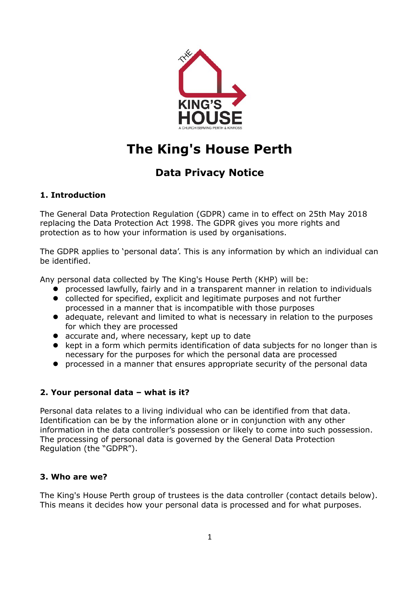

# **The King's House Perth**

# **Data Privacy Notice**

# **1. Introduction**

The General Data Protection Regulation (GDPR) came in to effect on 25th May 2018 replacing the Data Protection Act 1998. The GDPR gives you more rights and protection as to how your information is used by organisations.

The GDPR applies to 'personal data'. This is any information by which an individual can be identified.

Any personal data collected by The King's House Perth (KHP) will be:

- **P** processed lawfully, fairly and in a transparent manner in relation to individuals
- collected for specified, explicit and legitimate purposes and not further processed in a manner that is incompatible with those purposes
- adequate, relevant and limited to what is necessary in relation to the purposes for which they are processed
- accurate and, where necessary, kept up to date
- kept in a form which permits identification of data subjects for no longer than is necessary for the purposes for which the personal data are processed
- processed in a manner that ensures appropriate security of the personal data

# **2. Your personal data – what is it?**

Personal data relates to a living individual who can be identified from that data. Identification can be by the information alone or in conjunction with any other information in the data controller's possession or likely to come into such possession. The processing of personal data is governed by the General Data Protection Regulation (the "GDPR").

#### **3. Who are we?**

The King's House Perth group of trustees is the data controller (contact details below). This means it decides how your personal data is processed and for what purposes.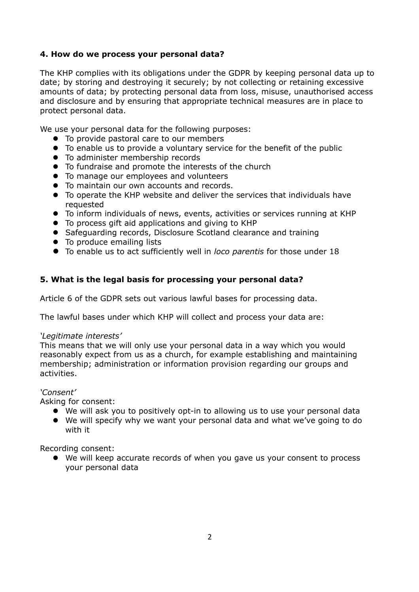#### **4. How do we process your personal data?**

The KHP complies with its obligations under the GDPR by keeping personal data up to date; by storing and destroying it securely; by not collecting or retaining excessive amounts of data; by protecting personal data from loss, misuse, unauthorised access and disclosure and by ensuring that appropriate technical measures are in place to protect personal data.

We use your personal data for the following purposes:

- $\bullet$  To provide pastoral care to our members
- To enable us to provide a voluntary service for the benefit of the public
- $\bullet$  To administer membership records
- $\bullet$  To fundraise and promote the interests of the church
- $\bullet$  To manage our employees and volunteers
- $\bullet$  To maintain our own accounts and records.
- To operate the KHP website and deliver the services that individuals have requested
- To inform individuals of news, events, activities or services running at KHP
- To process gift aid applications and giving to KHP
- Safeguarding records, Disclosure Scotland clearance and training
- To produce emailing lists
- To enable us to act sufficiently well in *loco parentis* for those under 18

#### **5. What is the legal basis for processing your personal data?**

Article 6 of the GDPR sets out various lawful bases for processing data.

The lawful bases under which KHP will collect and process your data are:

#### *'Legitimate interests'*

This means that we will only use your personal data in a way which you would reasonably expect from us as a church, for example establishing and maintaining membership; administration or information provision regarding our groups and activities.

#### *'Consent'*

Asking for consent:

- We will ask you to positively opt-in to allowing us to use your personal data
- We will specify why we want your personal data and what we've going to do with it

Recording consent:

 We will keep accurate records of when you gave us your consent to process your personal data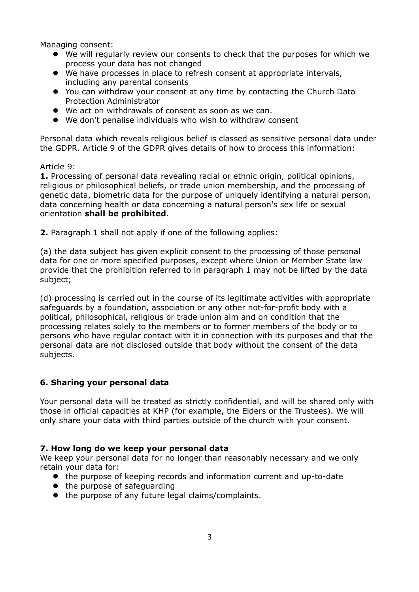Managing consent:

- We will regularly review our consents to check that the purposes for which we process your data has not changed
- We have processes in place to refresh consent at appropriate intervals, including any parental consents
- You can withdraw your consent at any time by contacting the Church Data Protection Administrator
- We act on withdrawals of consent as soon as we can.
- We don't penalise individuals who wish to withdraw consent

Personal data which reveals religious belief is classed as sensitive personal data under the GDPR. Article 9 of the GDPR gives details of how to process this information:

#### Article 9:

**1.** Processing of personal data revealing racial or ethnic origin, political opinions, religious or philosophical beliefs, or trade union membership, and the processing of genetic data, biometric data for the purpose of uniquely identifying a natural person, data concerning health or data concerning a natural person's sex life or sexual orientation **shall be prohibited**.

**2.** Paragraph 1 shall not apply if one of the following applies:

(a) the data subject has given explicit consent to the processing of those personal data for one or more specified purposes, except where Union or Member State law provide that the prohibition referred to in paragraph 1 may not be lifted by the data subject;

(d) processing is carried out in the course of its legitimate activities with appropriate safeguards by a foundation, association or any other not-for-profit body with a political, philosophical, religious or trade union aim and on condition that the processing relates solely to the members or to former members of the body or to persons who have regular contact with it in connection with its purposes and that the personal data are not disclosed outside that body without the consent of the data subjects.

#### **6. Sharing your personal data**

Your personal data will be treated as strictly confidential, and will be shared only with those in official capacities at KHP (for example, the Elders or the Trustees). We will only share your data with third parties outside of the church with your consent.

#### **7. How long do we keep your personal data**

We keep your personal data for no longer than reasonably necessary and we only retain your data for:

- the purpose of keeping records and information current and up-to-date
- the purpose of safeguarding
- $\bullet$  the purpose of any future legal claims/complaints.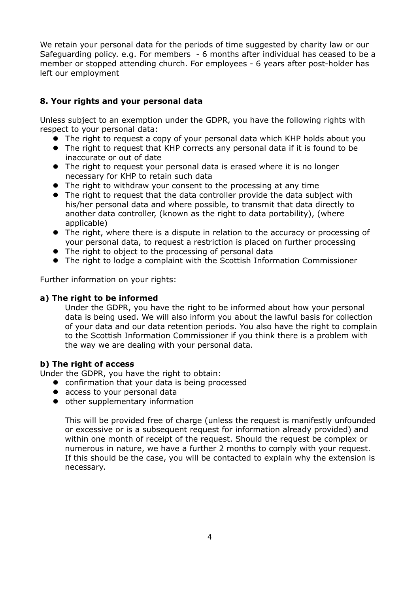We retain your personal data for the periods of time suggested by charity law or our Safeguarding policy. e.g. For members - 6 months after individual has ceased to be a member or stopped attending church. For employees - 6 years after post-holder has left our employment

# **8. Your rights and your personal data**

Unless subject to an exemption under the GDPR, you have the following rights with respect to your personal data:

- The right to request a copy of your personal data which KHP holds about you
- The right to request that KHP corrects any personal data if it is found to be inaccurate or out of date
- The right to request your personal data is erased where it is no longer necessary for KHP to retain such data
- The right to withdraw your consent to the processing at any time
- The right to request that the data controller provide the data subject with his/her personal data and where possible, to transmit that data directly to another data controller, (known as the right to data portability), (where applicable)
- The right, where there is a dispute in relation to the accuracy or processing of your personal data, to request a restriction is placed on further processing
- The right to object to the processing of personal data
- The right to lodge a complaint with the Scottish Information Commissioner

Further information on your rights:

#### **a) The right to be informed**

Under the GDPR, you have the right to be informed about how your personal data is being used. We will also inform you about the lawful basis for collection of your data and our data retention periods. You also have the right to complain to the Scottish Information Commissioner if you think there is a problem with the way we are dealing with your personal data.

#### **b) The right of access**

Under the GDPR, you have the right to obtain:

- confirmation that your data is being processed
- access to your personal data
- $\bullet$  other supplementary information

This will be provided free of charge (unless the request is manifestly unfounded or excessive or is a subsequent request for information already provided) and within one month of receipt of the request. Should the request be complex or numerous in nature, we have a further 2 months to comply with your request. If this should be the case, you will be contacted to explain why the extension is necessary.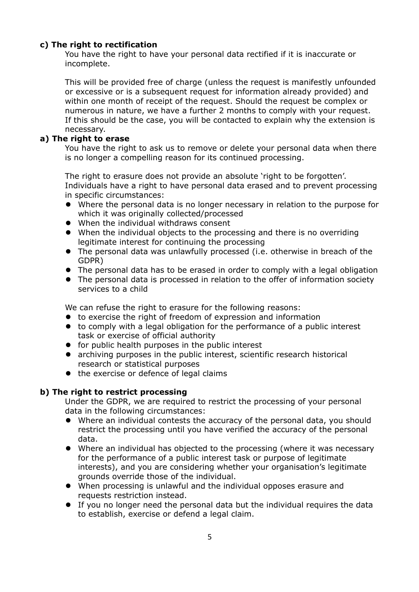## **c) The right to rectification**

You have the right to have your personal data rectified if it is inaccurate or incomplete.

This will be provided free of charge (unless the request is manifestly unfounded or excessive or is a subsequent request for information already provided) and within one month of receipt of the request. Should the request be complex or numerous in nature, we have a further 2 months to comply with your request. If this should be the case, you will be contacted to explain why the extension is necessary.

#### **a) The right to erase**

You have the right to ask us to remove or delete your personal data when there is no longer a compelling reason for its continued processing.

The right to erasure does not provide an absolute 'right to be forgotten'. Individuals have a right to have personal data erased and to prevent processing in specific circumstances:

- Where the personal data is no longer necessary in relation to the purpose for which it was originally collected/processed
- When the individual withdraws consent
- When the individual objects to the processing and there is no overriding legitimate interest for continuing the processing
- The personal data was unlawfully processed (i.e. otherwise in breach of the GDPR)
- The personal data has to be erased in order to comply with a legal obligation
- The personal data is processed in relation to the offer of information society services to a child

We can refuse the right to erasure for the following reasons:

- to exercise the right of freedom of expression and information
- to comply with a legal obligation for the performance of a public interest task or exercise of official authority
- **•** for public health purposes in the public interest
- archiving purposes in the public interest, scientific research historical research or statistical purposes
- the exercise or defence of legal claims

#### **b) The right to restrict processing**

Under the GDPR, we are required to restrict the processing of your personal data in the following circumstances:

- Where an individual contests the accuracy of the personal data, you should restrict the processing until you have verified the accuracy of the personal data.
- Where an individual has objected to the processing (where it was necessary for the performance of a public interest task or purpose of legitimate interests), and you are considering whether your organisation's legitimate grounds override those of the individual.
- When processing is unlawful and the individual opposes erasure and requests restriction instead.
- If you no longer need the personal data but the individual requires the data to establish, exercise or defend a legal claim.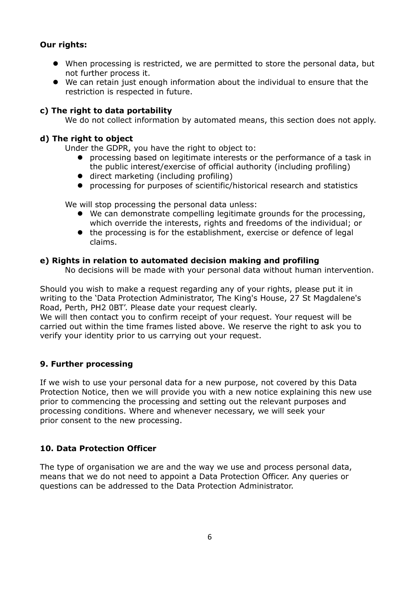## **Our rights:**

- When processing is restricted, we are permitted to store the personal data, but not further process it.
- We can retain just enough information about the individual to ensure that the restriction is respected in future.

#### **c) The right to data portability**

We do not collect information by automated means, this section does not apply.

#### **d) The right to object**

Under the GDPR, you have the right to object to:

- **•** processing based on legitimate interests or the performance of a task in the public interest/exercise of official authority (including profiling)
- direct marketing (including profiling)
- processing for purposes of scientific/historical research and statistics

We will stop processing the personal data unless:

- We can demonstrate compelling legitimate grounds for the processing, which override the interests, rights and freedoms of the individual; or
- the processing is for the establishment, exercise or defence of legal claims.

#### **e) Rights in relation to automated decision making and profiling**

No decisions will be made with your personal data without human intervention.

Should you wish to make a request regarding any of your rights, please put it in writing to the 'Data Protection Administrator, The King's House, 27 St Magdalene's Road, Perth, PH2 0BT'. Please date your request clearly.

We will then contact you to confirm receipt of your request. Your request will be carried out within the time frames listed above. We reserve the right to ask you to verify your identity prior to us carrying out your request.

#### **9. Further processing**

If we wish to use your personal data for a new purpose, not covered by this Data Protection Notice, then we will provide you with a new notice explaining this new use prior to commencing the processing and setting out the relevant purposes and processing conditions. Where and whenever necessary, we will seek your prior consent to the new processing.

#### **10. Data Protection Officer**

The type of organisation we are and the way we use and process personal data, means that we do not need to appoint a Data Protection Officer. Any queries or questions can be addressed to the Data Protection Administrator.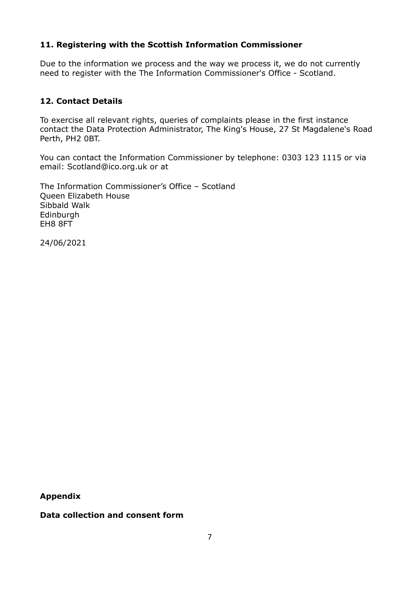## **11. Registering with the Scottish Information Commissioner**

Due to the information we process and the way we process it, we do not currently need to register with the The Information Commissioner's Office - Scotland.

## **12. Contact Details**

To exercise all relevant rights, queries of complaints please in the first instance contact the Data Protection Administrator, The King's House, 27 St Magdalene's Road Perth, PH2 0BT.

You can contact the Information Commissioner by telephone: 0303 123 1115 or via email: Scotland@ico.org.uk or at

The Information Commissioner's Office – Scotland Queen Elizabeth House Sibbald Walk Edinburgh EH8 8FT

24/06/2021

**Appendix**

**Data collection and consent form**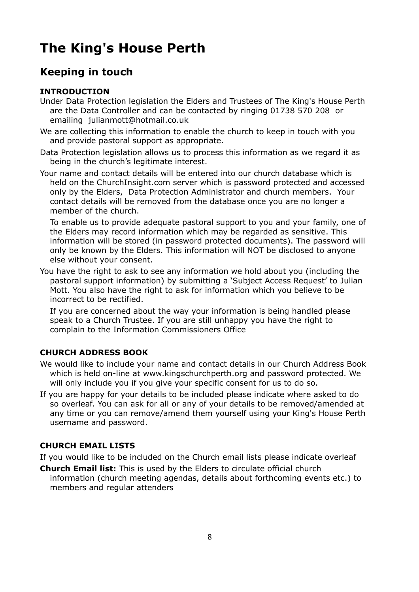# **The King's House Perth**

# **Keeping in touch**

# **INTRODUCTION**

- Under Data Protection legislation the Elders and Trustees of The King's House Perth are the Data Controller and can be contacted by ringing 01738 570 208 or emailing julianmott@hotmail.co.uk
- We are collecting this information to enable the church to keep in touch with you and provide pastoral support as appropriate.

Data Protection legislation allows us to process this information as we regard it as being in the church's legitimate interest.

Your name and contact details will be entered into our church database which is held on the ChurchInsight.com server which is password protected and accessed only by the Elders, Data Protection Administrator and church members. Your contact details will be removed from the database once you are no longer a member of the church.

To enable us to provide adequate pastoral support to you and your family, one of the Elders may record information which may be regarded as sensitive. This information will be stored (in password protected documents). The password will only be known by the Elders. This information will NOT be disclosed to anyone else without your consent.

You have the right to ask to see any information we hold about you (including the pastoral support information) by submitting a 'Subject Access Request' to Julian Mott. You also have the right to ask for information which you believe to be incorrect to be rectified.

If you are concerned about the way your information is being handled please speak to a Church Trustee. If you are still unhappy you have the right to complain to the Information Commissioners Office

#### **CHURCH ADDRESS BOOK**

- We would like to include your name and contact details in our Church Address Book which is held on-line at www.kingschurchperth.org and password protected. We will only include you if you give your specific consent for us to do so.
- If you are happy for your details to be included please indicate where asked to do so overleaf. You can ask for all or any of your details to be removed/amended at any time or you can remove/amend them yourself using your King's House Perth username and password.

#### **CHURCH EMAIL LISTS**

If you would like to be included on the Church email lists please indicate overleaf

**Church Email list:** This is used by the Elders to circulate official church information (church meeting agendas, details about forthcoming events etc.) to members and regular attenders